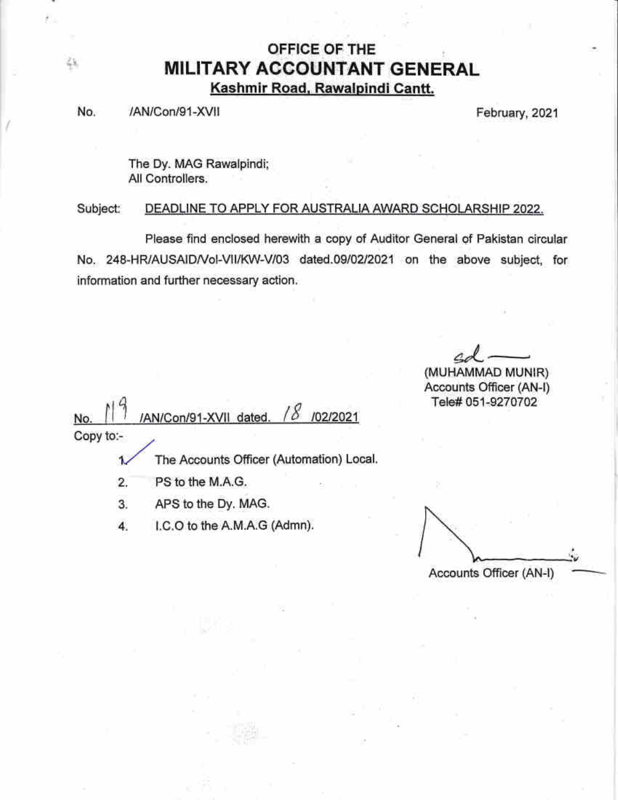## OFFICE OF THE **MILITARY ACCOUNTANT GENERAL** Kashmir Road, Rawalpindi Cantt.

No. /AN/Con/91-XVII et al. (2021) February, 2021

48,

The Dy. MAG Rawalpindi; All Controllers.

DEADLINE TO APPLY FOR AUSTRALIA AWARD SCHOLARSHIP 2022. Subject:

Please find enclosed herewith a copy of Auditor General of Pakistan circular No. 248-HR/AUSAID/Vol-VII/KW-V/03 dated.09/02/2021 on the above subject, for information and further necessary action.

 $\mathcal{S}$ d $\mathcal{A}-$ 

(MUHAMMAD MUN!R) Accounts Officer (AN-l) Tele# 051-9270702

 $\sqrt{2}$ 0 CI AN/Con/91-XVII dated. /02/2021 No. Copy to:-

> The Accounts Officer (Automation) Local. 1

> > '.' .:

- PS to the M.A.G 2.
- APS to the Dy, MAG. 3"
- l.C.O to the A.M.A;G (Admn). 4.

Accounts Officer (AN-l)